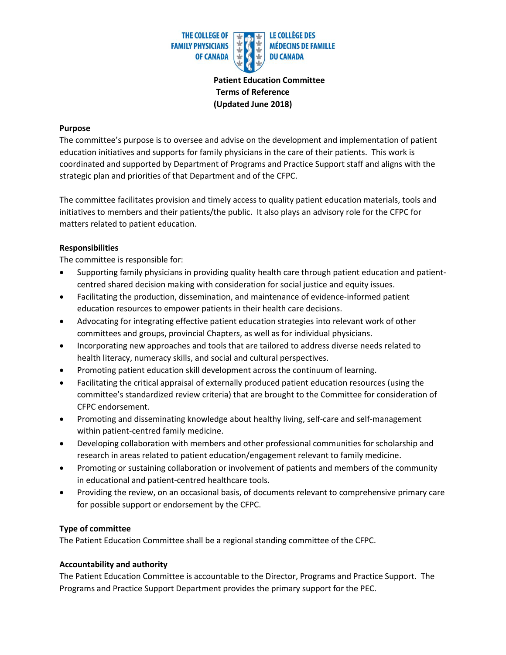

 **Patient Education Committee Terms of Reference (Updated June 2018)**

### **Purpose**

The committee's purpose is to oversee and advise on the development and implementation of patient education initiatives and supports for family physicians in the care of their patients. This work is coordinated and supported by Department of Programs and Practice Support staff and aligns with the strategic plan and priorities of that Department and of the CFPC.

The committee facilitates provision and timely access to quality patient education materials, tools and initiatives to members and their patients/the public. It also plays an advisory role for the CFPC for matters related to patient education.

### **Responsibilities**

The committee is responsible for:

- Supporting family physicians in providing quality health care through patient education and patientcentred shared decision making with consideration for social justice and equity issues.
- Facilitating the production, dissemination, and maintenance of evidence-informed patient education resources to empower patients in their health care decisions.
- Advocating for integrating effective patient education strategies into relevant work of other committees and groups, provincial Chapters, as well as for individual physicians.
- Incorporating new approaches and tools that are tailored to address diverse needs related to health literacy, numeracy skills, and social and cultural perspectives.
- Promoting patient education skill development across the continuum of learning.
- Facilitating the critical appraisal of externally produced patient education resources (using the committee's standardized review criteria) that are brought to the Committee for consideration of CFPC endorsement.
- Promoting and disseminating knowledge about healthy living, self-care and self-management within patient-centred family medicine.
- Developing collaboration with members and other professional communities for scholarship and research in areas related to patient education/engagement relevant to family medicine.
- Promoting or sustaining collaboration or involvement of patients and members of the community in educational and patient-centred healthcare tools.
- Providing the review, on an occasional basis, of documents relevant to comprehensive primary care for possible support or endorsement by the CFPC.

### **Type of committee**

The Patient Education Committee shall be a regional standing committee of the CFPC.

### **Accountability and authority**

The Patient Education Committee is accountable to the Director, Programs and Practice Support. The Programs and Practice Support Department provides the primary support for the PEC.